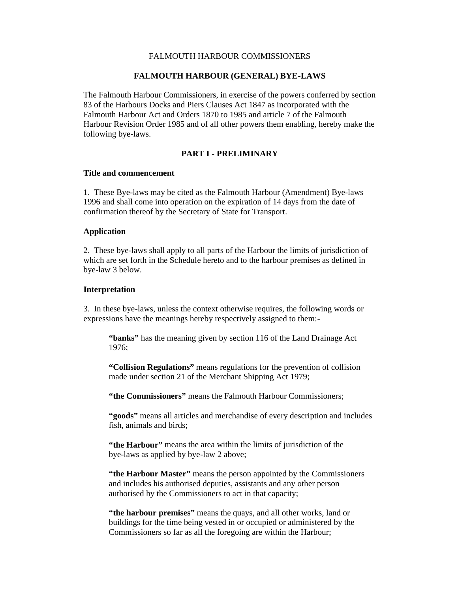## FALMOUTH HARBOUR COMMISSIONERS

## **FALMOUTH HARBOUR (GENERAL) BYE-LAWS**

The Falmouth Harbour Commissioners, in exercise of the powers conferred by section 83 of the Harbours Docks and Piers Clauses Act 1847 as incorporated with the Falmouth Harbour Act and Orders 1870 to 1985 and article 7 of the Falmouth Harbour Revision Order 1985 and of all other powers them enabling, hereby make the following bye-laws.

# **PART I - PRELIMINARY**

#### **Title and commencement**

1. These Bye-laws may be cited as the Falmouth Harbour (Amendment) Bye-laws 1996 and shall come into operation on the expiration of 14 days from the date of confirmation thereof by the Secretary of State for Transport.

#### **Application**

2. These bye-laws shall apply to all parts of the Harbour the limits of jurisdiction of which are set forth in the Schedule hereto and to the harbour premises as defined in bye-law 3 below.

### **Interpretation**

3. In these bye-laws, unless the context otherwise requires, the following words or expressions have the meanings hereby respectively assigned to them:-

**"banks"** has the meaning given by section 116 of the Land Drainage Act 1976;

**"Collision Regulations"** means regulations for the prevention of collision made under section 21 of the Merchant Shipping Act 1979;

**"the Commissioners"** means the Falmouth Harbour Commissioners;

**"goods"** means all articles and merchandise of every description and includes fish, animals and birds;

**"the Harbour"** means the area within the limits of jurisdiction of the bye-laws as applied by bye-law 2 above;

**"the Harbour Master"** means the person appointed by the Commissioners and includes his authorised deputies, assistants and any other person authorised by the Commissioners to act in that capacity;

**"the harbour premises"** means the quays, and all other works, land or buildings for the time being vested in or occupied or administered by the Commissioners so far as all the foregoing are within the Harbour;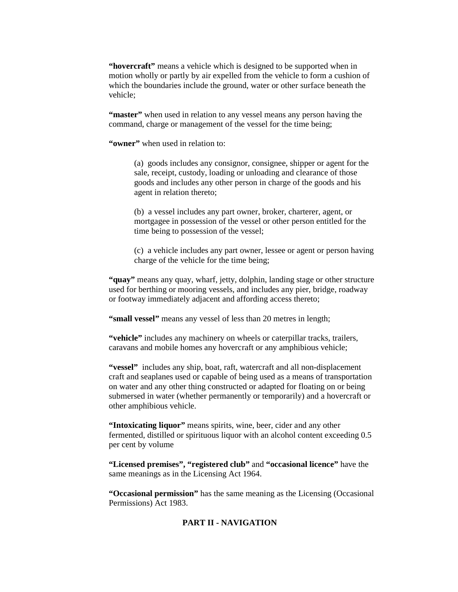**"hovercraft"** means a vehicle which is designed to be supported when in motion wholly or partly by air expelled from the vehicle to form a cushion of which the boundaries include the ground, water or other surface beneath the vehicle;

**"master"** when used in relation to any vessel means any person having the command, charge or management of the vessel for the time being;

**"owner"** when used in relation to:

(a) goods includes any consignor, consignee, shipper or agent for the sale, receipt, custody, loading or unloading and clearance of those goods and includes any other person in charge of the goods and his agent in relation thereto;

(b) a vessel includes any part owner, broker, charterer, agent, or mortgagee in possession of the vessel or other person entitled for the time being to possession of the vessel;

(c) a vehicle includes any part owner, lessee or agent or person having charge of the vehicle for the time being;

**"quay"** means any quay, wharf, jetty, dolphin, landing stage or other structure used for berthing or mooring vessels, and includes any pier, bridge, roadway or footway immediately adjacent and affording access thereto;

**"small vessel"** means any vessel of less than 20 metres in length;

**"vehicle"** includes any machinery on wheels or caterpillar tracks, trailers, caravans and mobile homes any hovercraft or any amphibious vehicle;

**"vessel"** includes any ship, boat, raft, watercraft and all non-displacement craft and seaplanes used or capable of being used as a means of transportation on water and any other thing constructed or adapted for floating on or being submersed in water (whether permanently or temporarily) and a hovercraft or other amphibious vehicle.

**"Intoxicating liquor"** means spirits, wine, beer, cider and any other fermented, distilled or spirituous liquor with an alcohol content exceeding 0.5 per cent by volume

**"Licensed premises", "registered club"** and **"occasional licence"** have the same meanings as in the Licensing Act 1964.

**"Occasional permission"** has the same meaning as the Licensing (Occasional Permissions) Act 1983.

# **PART II - NAVIGATION**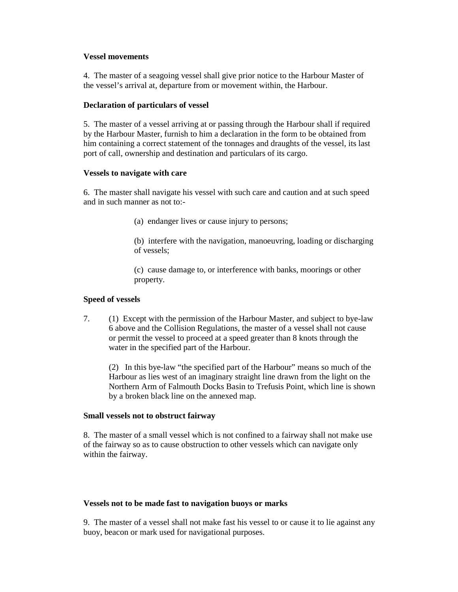## **Vessel movements**

4. The master of a seagoing vessel shall give prior notice to the Harbour Master of the vessel's arrival at, departure from or movement within, the Harbour.

## **Declaration of particulars of vessel**

5. The master of a vessel arriving at or passing through the Harbour shall if required by the Harbour Master, furnish to him a declaration in the form to be obtained from him containing a correct statement of the tonnages and draughts of the vessel, its last port of call, ownership and destination and particulars of its cargo.

## **Vessels to navigate with care**

6. The master shall navigate his vessel with such care and caution and at such speed and in such manner as not to:-

- (a) endanger lives or cause injury to persons;
- (b) interfere with the navigation, manoeuvring, loading or discharging of vessels;

(c) cause damage to, or interference with banks, moorings or other property.

## **Speed of vessels**

7. (1) Except with the permission of the Harbour Master, and subject to bye-law 6 above and the Collision Regulations, the master of a vessel shall not cause or permit the vessel to proceed at a speed greater than 8 knots through the water in the specified part of the Harbour.

(2) In this bye-law "the specified part of the Harbour" means so much of the Harbour as lies west of an imaginary straight line drawn from the light on the Northern Arm of Falmouth Docks Basin to Trefusis Point, which line is shown by a broken black line on the annexed map.

### **Small vessels not to obstruct fairway**

8. The master of a small vessel which is not confined to a fairway shall not make use of the fairway so as to cause obstruction to other vessels which can navigate only within the fairway.

# **Vessels not to be made fast to navigation buoys or marks**

9. The master of a vessel shall not make fast his vessel to or cause it to lie against any buoy, beacon or mark used for navigational purposes.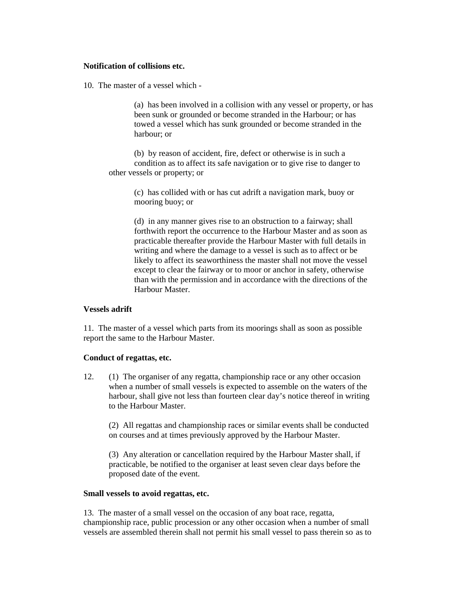## **Notification of collisions etc.**

10. The master of a vessel which -

(a) has been involved in a collision with any vessel or property, or has been sunk or grounded or become stranded in the Harbour; or has towed a vessel which has sunk grounded or become stranded in the harbour; or

(b) by reason of accident, fire, defect or otherwise is in such a condition as to affect its safe navigation or to give rise to danger to other vessels or property; or

> (c) has collided with or has cut adrift a navigation mark, buoy or mooring buoy; or

(d) in any manner gives rise to an obstruction to a fairway; shall forthwith report the occurrence to the Harbour Master and as soon as practicable thereafter provide the Harbour Master with full details in writing and where the damage to a vessel is such as to affect or be likely to affect its seaworthiness the master shall not move the vessel except to clear the fairway or to moor or anchor in safety, otherwise than with the permission and in accordance with the directions of the Harbour Master.

### **Vessels adrift**

11. The master of a vessel which parts from its moorings shall as soon as possible report the same to the Harbour Master.

### **Conduct of regattas, etc.**

12. (1) The organiser of any regatta, championship race or any other occasion when a number of small vessels is expected to assemble on the waters of the harbour, shall give not less than fourteen clear day's notice thereof in writing to the Harbour Master.

(2) All regattas and championship races or similar events shall be conducted on courses and at times previously approved by the Harbour Master.

(3) Any alteration or cancellation required by the Harbour Master shall, if practicable, be notified to the organiser at least seven clear days before the proposed date of the event.

### **Small vessels to avoid regattas, etc.**

13. The master of a small vessel on the occasion of any boat race, regatta, championship race, public procession or any other occasion when a number of small vessels are assembled therein shall not permit his small vessel to pass therein so as to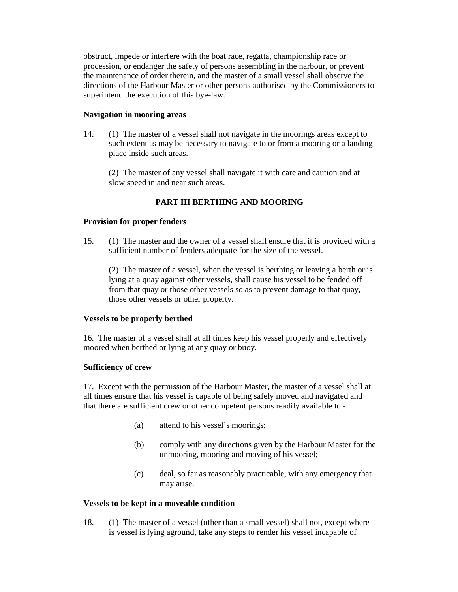obstruct, impede or interfere with the boat race, regatta, championship race or procession, or endanger the safety of persons assembling in the harbour, or prevent the maintenance of order therein, and the master of a small vessel shall observe the directions of the Harbour Master or other persons authorised by the Commissioners to superintend the execution of this bye-law.

# **Navigation in mooring areas**

14. (1) The master of a vessel shall not navigate in the moorings areas except to such extent as may be necessary to navigate to or from a mooring or a landing place inside such areas.

(2) The master of any vessel shall navigate it with care and caution and at slow speed in and near such areas.

# **PART III BERTHING AND MOORING**

# **Provision for proper fenders**

15. (1) The master and the owner of a vessel shall ensure that it is provided with a sufficient number of fenders adequate for the size of the vessel.

(2) The master of a vessel, when the vessel is berthing or leaving a berth or is lying at a quay against other vessels, shall cause his vessel to be fended off from that quay or those other vessels so as to prevent damage to that quay, those other vessels or other property.

### **Vessels to be properly berthed**

16. The master of a vessel shall at all times keep his vessel properly and effectively moored when berthed or lying at any quay or buoy.

### **Sufficiency of crew**

17. Except with the permission of the Harbour Master, the master of a vessel shall at all times ensure that his vessel is capable of being safely moved and navigated and that there are sufficient crew or other competent persons readily available to -

- (a) attend to his vessel's moorings;
- (b) comply with any directions given by the Harbour Master for the unmooring, mooring and moving of his vessel;
- (c) deal, so far as reasonably practicable, with any emergency that may arise.

### **Vessels to be kept in a moveable condition**

18. (1) The master of a vessel (other than a small vessel) shall not, except where is vessel is lying aground, take any steps to render his vessel incapable of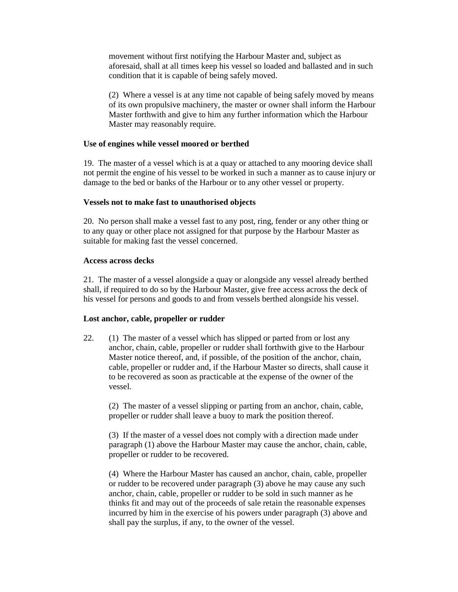movement without first notifying the Harbour Master and, subject as aforesaid, shall at all times keep his vessel so loaded and ballasted and in such condition that it is capable of being safely moved.

(2) Where a vessel is at any time not capable of being safely moved by means of its own propulsive machinery, the master or owner shall inform the Harbour Master forthwith and give to him any further information which the Harbour Master may reasonably require.

## **Use of engines while vessel moored or berthed**

19. The master of a vessel which is at a quay or attached to any mooring device shall not permit the engine of his vessel to be worked in such a manner as to cause injury or damage to the bed or banks of the Harbour or to any other vessel or property.

## **Vessels not to make fast to unauthorised objects**

20. No person shall make a vessel fast to any post, ring, fender or any other thing or to any quay or other place not assigned for that purpose by the Harbour Master as suitable for making fast the vessel concerned.

## **Access across decks**

21. The master of a vessel alongside a quay or alongside any vessel already berthed shall, if required to do so by the Harbour Master, give free access across the deck of his vessel for persons and goods to and from vessels berthed alongside his vessel.

# **Lost anchor, cable, propeller or rudder**

22. (1) The master of a vessel which has slipped or parted from or lost any anchor, chain, cable, propeller or rudder shall forthwith give to the Harbour Master notice thereof, and, if possible, of the position of the anchor, chain, cable, propeller or rudder and, if the Harbour Master so directs, shall cause it to be recovered as soon as practicable at the expense of the owner of the vessel.

(2) The master of a vessel slipping or parting from an anchor, chain, cable, propeller or rudder shall leave a buoy to mark the position thereof.

(3) If the master of a vessel does not comply with a direction made under paragraph (1) above the Harbour Master may cause the anchor, chain, cable, propeller or rudder to be recovered.

(4) Where the Harbour Master has caused an anchor, chain, cable, propeller or rudder to be recovered under paragraph (3) above he may cause any such anchor, chain, cable, propeller or rudder to be sold in such manner as he thinks fit and may out of the proceeds of sale retain the reasonable expenses incurred by him in the exercise of his powers under paragraph (3) above and shall pay the surplus, if any, to the owner of the vessel.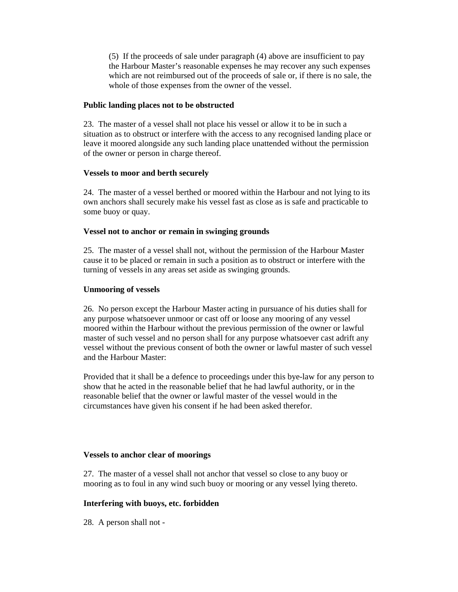(5) If the proceeds of sale under paragraph (4) above are insufficient to pay the Harbour Master's reasonable expenses he may recover any such expenses which are not reimbursed out of the proceeds of sale or, if there is no sale, the whole of those expenses from the owner of the vessel.

# **Public landing places not to be obstructed**

23. The master of a vessel shall not place his vessel or allow it to be in such a situation as to obstruct or interfere with the access to any recognised landing place or leave it moored alongside any such landing place unattended without the permission of the owner or person in charge thereof.

# **Vessels to moor and berth securely**

24. The master of a vessel berthed or moored within the Harbour and not lying to its own anchors shall securely make his vessel fast as close as is safe and practicable to some buoy or quay.

# **Vessel not to anchor or remain in swinging grounds**

25. The master of a vessel shall not, without the permission of the Harbour Master cause it to be placed or remain in such a position as to obstruct or interfere with the turning of vessels in any areas set aside as swinging grounds.

# **Unmooring of vessels**

26. No person except the Harbour Master acting in pursuance of his duties shall for any purpose whatsoever unmoor or cast off or loose any mooring of any vessel moored within the Harbour without the previous permission of the owner or lawful master of such vessel and no person shall for any purpose whatsoever cast adrift any vessel without the previous consent of both the owner or lawful master of such vessel and the Harbour Master:

Provided that it shall be a defence to proceedings under this bye-law for any person to show that he acted in the reasonable belief that he had lawful authority, or in the reasonable belief that the owner or lawful master of the vessel would in the circumstances have given his consent if he had been asked therefor.

# **Vessels to anchor clear of moorings**

27. The master of a vessel shall not anchor that vessel so close to any buoy or mooring as to foul in any wind such buoy or mooring or any vessel lying thereto.

# **Interfering with buoys, etc. forbidden**

28. A person shall not -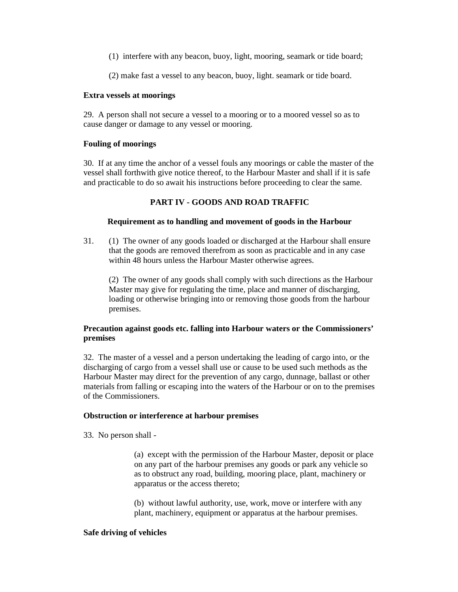(1) interfere with any beacon, buoy, light, mooring, seamark or tide board;

(2) make fast a vessel to any beacon, buoy, light. seamark or tide board.

## **Extra vessels at moorings**

29. A person shall not secure a vessel to a mooring or to a moored vessel so as to cause danger or damage to any vessel or mooring.

# **Fouling of moorings**

30. If at any time the anchor of a vessel fouls any moorings or cable the master of the vessel shall forthwith give notice thereof, to the Harbour Master and shall if it is safe and practicable to do so await his instructions before proceeding to clear the same.

# **PART IV - GOODS AND ROAD TRAFFIC**

## **Requirement as to handling and movement of goods in the Harbour**

31. (1) The owner of any goods loaded or discharged at the Harbour shall ensure that the goods are removed therefrom as soon as practicable and in any case within 48 hours unless the Harbour Master otherwise agrees.

(2) The owner of any goods shall comply with such directions as the Harbour Master may give for regulating the time, place and manner of discharging, loading or otherwise bringing into or removing those goods from the harbour premises.

# **Precaution against goods etc. falling into Harbour waters or the Commissioners' premises**

32. The master of a vessel and a person undertaking the leading of cargo into, or the discharging of cargo from a vessel shall use or cause to be used such methods as the Harbour Master may direct for the prevention of any cargo, dunnage, ballast or other materials from falling or escaping into the waters of the Harbour or on to the premises of the Commissioners.

# **Obstruction or interference at harbour premises**

33. No person shall -

(a) except with the permission of the Harbour Master, deposit or place on any part of the harbour premises any goods or park any vehicle so as to obstruct any road, building, mooring place, plant, machinery or apparatus or the access thereto;

(b) without lawful authority, use, work, move or interfere with any plant, machinery, equipment or apparatus at the harbour premises.

### **Safe driving of vehicles**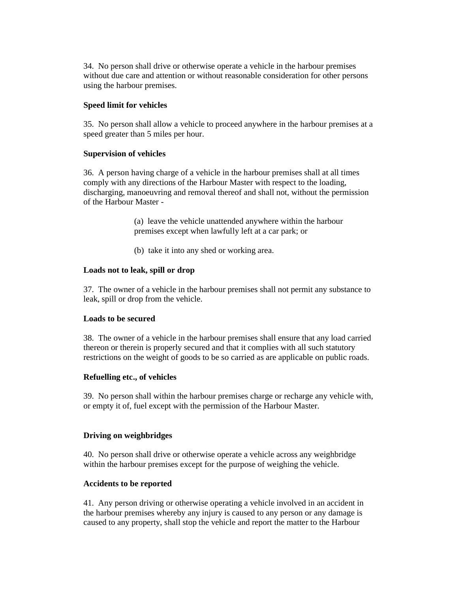34. No person shall drive or otherwise operate a vehicle in the harbour premises without due care and attention or without reasonable consideration for other persons using the harbour premises.

# **Speed limit for vehicles**

35. No person shall allow a vehicle to proceed anywhere in the harbour premises at a speed greater than 5 miles per hour.

## **Supervision of vehicles**

36. A person having charge of a vehicle in the harbour premises shall at all times comply with any directions of the Harbour Master with respect to the loading, discharging, manoeuvring and removal thereof and shall not, without the permission of the Harbour Master -

> (a) leave the vehicle unattended anywhere within the harbour premises except when lawfully left at a car park; or

(b) take it into any shed or working area.

## **Loads not to leak, spill or drop**

37. The owner of a vehicle in the harbour premises shall not permit any substance to leak, spill or drop from the vehicle.

### **Loads to be secured**

38. The owner of a vehicle in the harbour premises shall ensure that any load carried thereon or therein is properly secured and that it complies with all such statutory restrictions on the weight of goods to be so carried as are applicable on public roads.

# **Refuelling etc., of vehicles**

39. No person shall within the harbour premises charge or recharge any vehicle with, or empty it of, fuel except with the permission of the Harbour Master.

### **Driving on weighbridges**

40. No person shall drive or otherwise operate a vehicle across any weighbridge within the harbour premises except for the purpose of weighing the vehicle.

### **Accidents to be reported**

41. Any person driving or otherwise operating a vehicle involved in an accident in the harbour premises whereby any injury is caused to any person or any damage is caused to any property, shall stop the vehicle and report the matter to the Harbour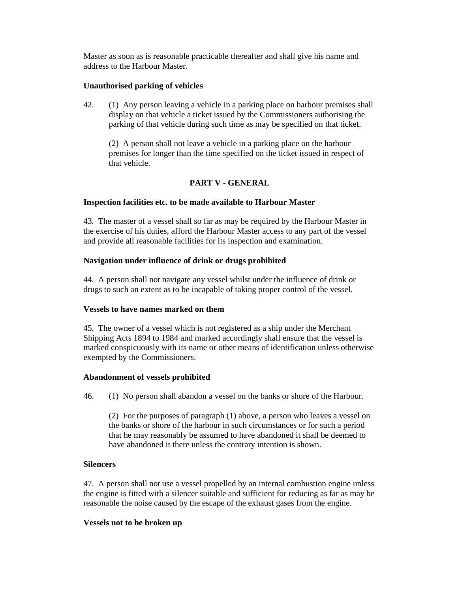Master as soon as is reasonable practicable thereafter and shall give his name and address to the Harbour Master.

## **Unauthorised parking of vehicles**

42. (1) Any person leaving a vehicle in a parking place on harbour premises shall display on that vehicle a ticket issued by the Commissioners authorising the parking of that vehicle during such time as may be specified on that ticket.

(2) A person shall not leave a vehicle in a parking place on the harbour premises for longer than the time specified on the ticket issued in respect of that vehicle.

# **PART V - GENERAL**

### **Inspection facilities etc. to be made available to Harbour Master**

43. The master of a vessel shall so far as may be required by the Harbour Master in the exercise of his duties, afford the Harbour Master access to any part of the vessel and provide all reasonable facilities for its inspection and examination.

## **Navigation under influence of drink or drugs prohibited**

44. A person shall not navigate any vessel whilst under the influence of drink or drugs to such an extent as to be incapable of taking proper control of the vessel.

## **Vessels to have names marked on them**

45. The owner of a vessel which is not registered as a ship under the Merchant Shipping Acts 1894 to 1984 and marked accordingly shall ensure that the vessel is marked conspicuously with its name or other means of identification unless otherwise exempted by the Commissioners.

### **Abandonment of vessels prohibited**

46. (1) No person shall abandon a vessel on the banks or shore of the Harbour.

(2) For the purposes of paragraph (1) above, a person who leaves a vessel on the banks or shore of the harbour in such circumstances or for such a period that he may reasonably be assumed to have abandoned it shall be deemed to have abandoned it there unless the contrary intention is shown.

# **Silencers**

47. A person shall not use a vessel propelled by an internal combustion engine unless the engine is fitted with a silencer suitable and sufficient for reducing as far as may be reasonable the noise caused by the escape of the exhaust gases from the engine.

### **Vessels not to be broken up**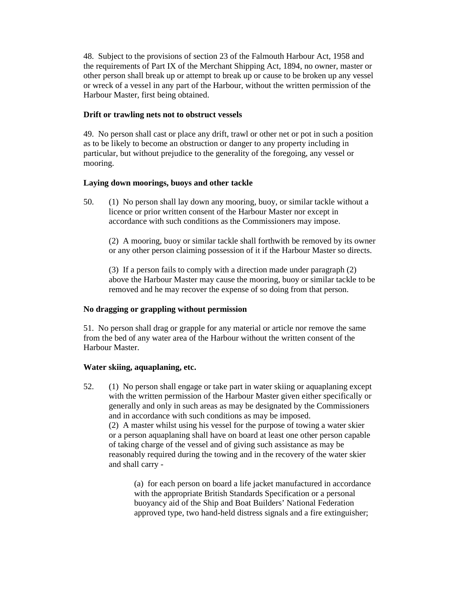48. Subject to the provisions of section 23 of the Falmouth Harbour Act, 1958 and the requirements of Part IX of the Merchant Shipping Act, 1894, no owner, master or other person shall break up or attempt to break up or cause to be broken up any vessel or wreck of a vessel in any part of the Harbour, without the written permission of the Harbour Master, first being obtained.

## **Drift or trawling nets not to obstruct vessels**

49. No person shall cast or place any drift, trawl or other net or pot in such a position as to be likely to become an obstruction or danger to any property including in particular, but without prejudice to the generality of the foregoing, any vessel or mooring.

## **Laying down moorings, buoys and other tackle**

50. (1) No person shall lay down any mooring, buoy, or similar tackle without a licence or prior written consent of the Harbour Master nor except in accordance with such conditions as the Commissioners may impose.

(2) A mooring, buoy or similar tackle shall forthwith be removed by its owner or any other person claiming possession of it if the Harbour Master so directs.

(3) If a person fails to comply with a direction made under paragraph (2) above the Harbour Master may cause the mooring, buoy or similar tackle to be removed and he may recover the expense of so doing from that person.

### **No dragging or grappling without permission**

51. No person shall drag or grapple for any material or article nor remove the same from the bed of any water area of the Harbour without the written consent of the Harbour Master.

### **Water skiing, aquaplaning, etc.**

52. (1) No person shall engage or take part in water skiing or aquaplaning except with the written permission of the Harbour Master given either specifically or generally and only in such areas as may be designated by the Commissioners and in accordance with such conditions as may be imposed. (2) A master whilst using his vessel for the purpose of towing a water skier

or a person aquaplaning shall have on board at least one other person capable of taking charge of the vessel and of giving such assistance as may be reasonably required during the towing and in the recovery of the water skier and shall carry -

(a) for each person on board a life jacket manufactured in accordance with the appropriate British Standards Specification or a personal buoyancy aid of the Ship and Boat Builders' National Federation approved type, two hand-held distress signals and a fire extinguisher;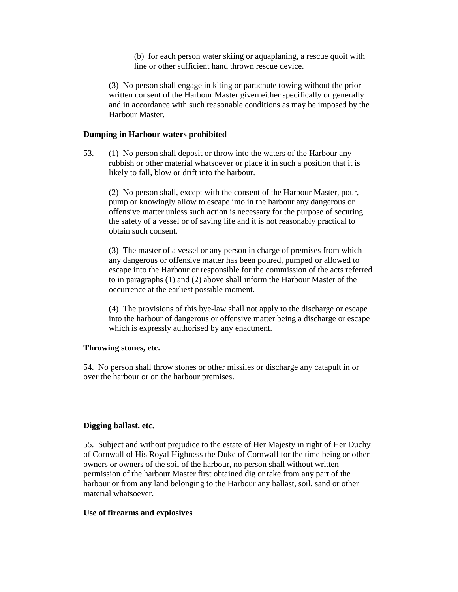(b) for each person water skiing or aquaplaning, a rescue quoit with line or other sufficient hand thrown rescue device.

(3) No person shall engage in kiting or parachute towing without the prior written consent of the Harbour Master given either specifically or generally and in accordance with such reasonable conditions as may be imposed by the Harbour Master.

## **Dumping in Harbour waters prohibited**

53. (1) No person shall deposit or throw into the waters of the Harbour any rubbish or other material whatsoever or place it in such a position that it is likely to fall, blow or drift into the harbour.

(2) No person shall, except with the consent of the Harbour Master, pour, pump or knowingly allow to escape into in the harbour any dangerous or offensive matter unless such action is necessary for the purpose of securing the safety of a vessel or of saving life and it is not reasonably practical to obtain such consent.

(3) The master of a vessel or any person in charge of premises from which any dangerous or offensive matter has been poured, pumped or allowed to escape into the Harbour or responsible for the commission of the acts referred to in paragraphs (1) and (2) above shall inform the Harbour Master of the occurrence at the earliest possible moment.

(4) The provisions of this bye-law shall not apply to the discharge or escape into the harbour of dangerous or offensive matter being a discharge or escape which is expressly authorised by any enactment.

### **Throwing stones, etc.**

54. No person shall throw stones or other missiles or discharge any catapult in or over the harbour or on the harbour premises.

### **Digging ballast, etc.**

55. Subject and without prejudice to the estate of Her Majesty in right of Her Duchy of Cornwall of His Royal Highness the Duke of Cornwall for the time being or other owners or owners of the soil of the harbour, no person shall without written permission of the harbour Master first obtained dig or take from any part of the harbour or from any land belonging to the Harbour any ballast, soil, sand or other material whatsoever.

### **Use of firearms and explosives**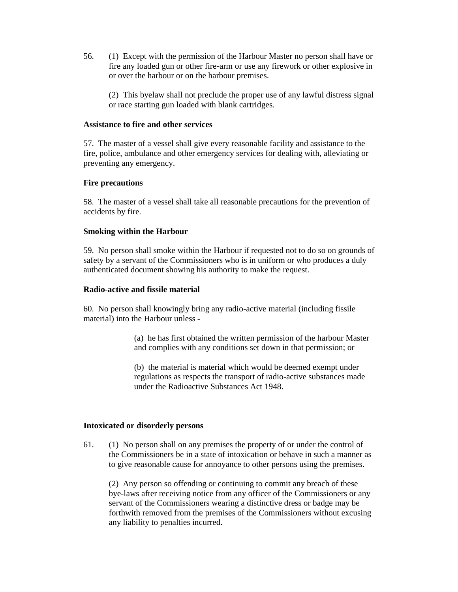56. (1) Except with the permission of the Harbour Master no person shall have or fire any loaded gun or other fire-arm or use any firework or other explosive in or over the harbour or on the harbour premises.

(2) This byelaw shall not preclude the proper use of any lawful distress signal or race starting gun loaded with blank cartridges.

#### **Assistance to fire and other services**

57. The master of a vessel shall give every reasonable facility and assistance to the fire, police, ambulance and other emergency services for dealing with, alleviating or preventing any emergency.

### **Fire precautions**

58. The master of a vessel shall take all reasonable precautions for the prevention of accidents by fire.

#### **Smoking within the Harbour**

59. No person shall smoke within the Harbour if requested not to do so on grounds of safety by a servant of the Commissioners who is in uniform or who produces a duly authenticated document showing his authority to make the request.

#### **Radio-active and fissile material**

60. No person shall knowingly bring any radio-active material (including fissile material) into the Harbour unless -

> (a) he has first obtained the written permission of the harbour Master and complies with any conditions set down in that permission; or

(b) the material is material which would be deemed exempt under regulations as respects the transport of radio-active substances made under the Radioactive Substances Act 1948.

#### **Intoxicated or disorderly persons**

61. (1) No person shall on any premises the property of or under the control of the Commissioners be in a state of intoxication or behave in such a manner as to give reasonable cause for annoyance to other persons using the premises.

(2) Any person so offending or continuing to commit any breach of these bye-laws after receiving notice from any officer of the Commissioners or any servant of the Commissioners wearing a distinctive dress or badge may be forthwith removed from the premises of the Commissioners without excusing any liability to penalties incurred.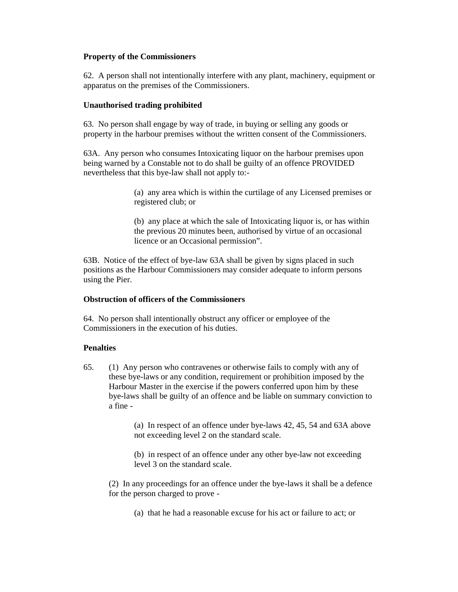## **Property of the Commissioners**

62. A person shall not intentionally interfere with any plant, machinery, equipment or apparatus on the premises of the Commissioners.

## **Unauthorised trading prohibited**

63. No person shall engage by way of trade, in buying or selling any goods or property in the harbour premises without the written consent of the Commissioners.

63A. Any person who consumes Intoxicating liquor on the harbour premises upon being warned by a Constable not to do shall be guilty of an offence PROVIDED nevertheless that this bye-law shall not apply to:-

> (a) any area which is within the curtilage of any Licensed premises or registered club; or

> (b) any place at which the sale of Intoxicating liquor is, or has within the previous 20 minutes been, authorised by virtue of an occasional licence or an Occasional permission".

63B. Notice of the effect of bye-law 63A shall be given by signs placed in such positions as the Harbour Commissioners may consider adequate to inform persons using the Pier.

## **Obstruction of officers of the Commissioners**

64. No person shall intentionally obstruct any officer or employee of the Commissioners in the execution of his duties.

# **Penalties**

65. (1) Any person who contravenes or otherwise fails to comply with any of these bye-laws or any condition, requirement or prohibition imposed by the Harbour Master in the exercise if the powers conferred upon him by these bye-laws shall be guilty of an offence and be liable on summary conviction to a fine -

> (a) In respect of an offence under bye-laws 42, 45, 54 and 63A above not exceeding level 2 on the standard scale.

(b) in respect of an offence under any other bye-law not exceeding level 3 on the standard scale.

(2) In any proceedings for an offence under the bye-laws it shall be a defence for the person charged to prove -

(a) that he had a reasonable excuse for his act or failure to act; or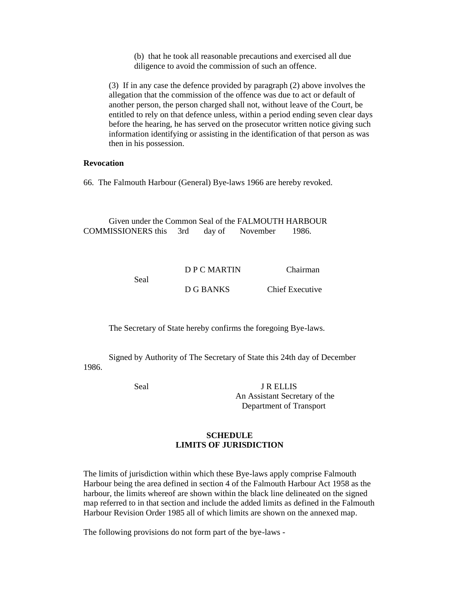(b) that he took all reasonable precautions and exercised all due diligence to avoid the commission of such an offence.

(3) If in any case the defence provided by paragraph (2) above involves the allegation that the commission of the offence was due to act or default of another person, the person charged shall not, without leave of the Court, be entitled to rely on that defence unless, within a period ending seven clear days before the hearing, he has served on the prosecutor written notice giving such information identifying or assisting in the identification of that person as was then in his possession.

## **Revocation**

66. The Falmouth Harbour (General) Bye-laws 1966 are hereby revoked.

Given under the Common Seal of the FALMOUTH HARBOUR COMMISSIONERS this 3rd day of November 1986.

|      | D P C MARTIN | Chairman        |
|------|--------------|-----------------|
| Seal |              |                 |
|      | D G BANKS    | Chief Executive |

The Secretary of State hereby confirms the foregoing Bye-laws.

Signed by Authority of The Secretary of State this 24th day of December 1986.

Seal J R ELLIS An Assistant Secretary of the Department of Transport

# **SCHEDULE LIMITS OF JURISDICTION**

The limits of jurisdiction within which these Bye-laws apply comprise Falmouth Harbour being the area defined in section 4 of the Falmouth Harbour Act 1958 as the harbour, the limits whereof are shown within the black line delineated on the signed map referred to in that section and include the added limits as defined in the Falmouth Harbour Revision Order 1985 all of which limits are shown on the annexed map.

The following provisions do not form part of the bye-laws -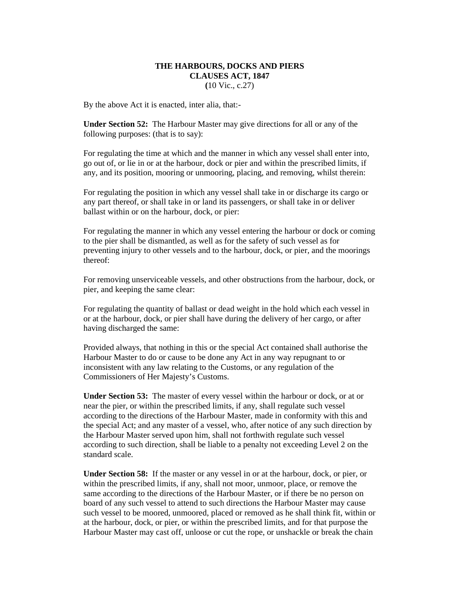# **THE HARBOURS, DOCKS AND PIERS CLAUSES ACT, 1847**

**(**10 Vic., c.27)

By the above Act it is enacted, inter alia, that:-

**Under Section 52:** The Harbour Master may give directions for all or any of the following purposes: (that is to say):

For regulating the time at which and the manner in which any vessel shall enter into, go out of, or lie in or at the harbour, dock or pier and within the prescribed limits, if any, and its position, mooring or unmooring, placing, and removing, whilst therein:

For regulating the position in which any vessel shall take in or discharge its cargo or any part thereof, or shall take in or land its passengers, or shall take in or deliver ballast within or on the harbour, dock, or pier:

For regulating the manner in which any vessel entering the harbour or dock or coming to the pier shall be dismantled, as well as for the safety of such vessel as for preventing injury to other vessels and to the harbour, dock, or pier, and the moorings thereof:

For removing unserviceable vessels, and other obstructions from the harbour, dock, or pier, and keeping the same clear:

For regulating the quantity of ballast or dead weight in the hold which each vessel in or at the harbour, dock, or pier shall have during the delivery of her cargo, or after having discharged the same:

Provided always, that nothing in this or the special Act contained shall authorise the Harbour Master to do or cause to be done any Act in any way repugnant to or inconsistent with any law relating to the Customs, or any regulation of the Commissioners of Her Majesty's Customs.

**Under Section 53:** The master of every vessel within the harbour or dock, or at or near the pier, or within the prescribed limits, if any, shall regulate such vessel according to the directions of the Harbour Master, made in conformity with this and the special Act; and any master of a vessel, who, after notice of any such direction by the Harbour Master served upon him, shall not forthwith regulate such vessel according to such direction, shall be liable to a penalty not exceeding Level 2 on the standard scale.

**Under Section 58:** If the master or any vessel in or at the harbour, dock, or pier, or within the prescribed limits, if any, shall not moor, unmoor, place, or remove the same according to the directions of the Harbour Master, or if there be no person on board of any such vessel to attend to such directions the Harbour Master may cause such vessel to be moored, unmoored, placed or removed as he shall think fit, within or at the harbour, dock, or pier, or within the prescribed limits, and for that purpose the Harbour Master may cast off, unloose or cut the rope, or unshackle or break the chain